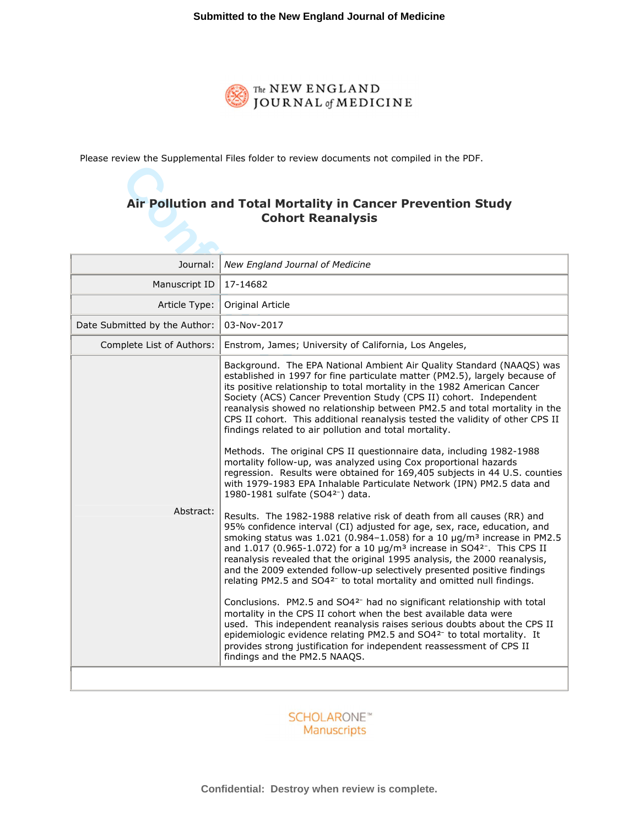

## **Air Pollution and Total Mortality in Cancer Prevention Study Cohort Reanalysis**

|                               | Please review the Supplemental Files folder to review documents not compiled in the PDF.                                                                                                                                                                                                                                                                                                                                                                                                                                                                                                                                                                                                                                                                                                                                                                                                                                                                                                                                                                                                                                                                                                                                                                                                                                                                                                                                                                                                                                                                                                                                                                                                                                                                                                                                                                                                                                   |  |  |  |  |
|-------------------------------|----------------------------------------------------------------------------------------------------------------------------------------------------------------------------------------------------------------------------------------------------------------------------------------------------------------------------------------------------------------------------------------------------------------------------------------------------------------------------------------------------------------------------------------------------------------------------------------------------------------------------------------------------------------------------------------------------------------------------------------------------------------------------------------------------------------------------------------------------------------------------------------------------------------------------------------------------------------------------------------------------------------------------------------------------------------------------------------------------------------------------------------------------------------------------------------------------------------------------------------------------------------------------------------------------------------------------------------------------------------------------------------------------------------------------------------------------------------------------------------------------------------------------------------------------------------------------------------------------------------------------------------------------------------------------------------------------------------------------------------------------------------------------------------------------------------------------------------------------------------------------------------------------------------------------|--|--|--|--|
|                               | Air Pollution and Total Mortality in Cancer Prevention Study<br><b>Cohort Reanalysis</b>                                                                                                                                                                                                                                                                                                                                                                                                                                                                                                                                                                                                                                                                                                                                                                                                                                                                                                                                                                                                                                                                                                                                                                                                                                                                                                                                                                                                                                                                                                                                                                                                                                                                                                                                                                                                                                   |  |  |  |  |
| Journal:                      | New England Journal of Medicine                                                                                                                                                                                                                                                                                                                                                                                                                                                                                                                                                                                                                                                                                                                                                                                                                                                                                                                                                                                                                                                                                                                                                                                                                                                                                                                                                                                                                                                                                                                                                                                                                                                                                                                                                                                                                                                                                            |  |  |  |  |
| Manuscript ID                 | 17-14682                                                                                                                                                                                                                                                                                                                                                                                                                                                                                                                                                                                                                                                                                                                                                                                                                                                                                                                                                                                                                                                                                                                                                                                                                                                                                                                                                                                                                                                                                                                                                                                                                                                                                                                                                                                                                                                                                                                   |  |  |  |  |
| Article Type:                 | Original Article                                                                                                                                                                                                                                                                                                                                                                                                                                                                                                                                                                                                                                                                                                                                                                                                                                                                                                                                                                                                                                                                                                                                                                                                                                                                                                                                                                                                                                                                                                                                                                                                                                                                                                                                                                                                                                                                                                           |  |  |  |  |
| Date Submitted by the Author: | 03-Nov-2017                                                                                                                                                                                                                                                                                                                                                                                                                                                                                                                                                                                                                                                                                                                                                                                                                                                                                                                                                                                                                                                                                                                                                                                                                                                                                                                                                                                                                                                                                                                                                                                                                                                                                                                                                                                                                                                                                                                |  |  |  |  |
| Complete List of Authors:     | Enstrom, James; University of California, Los Angeles,                                                                                                                                                                                                                                                                                                                                                                                                                                                                                                                                                                                                                                                                                                                                                                                                                                                                                                                                                                                                                                                                                                                                                                                                                                                                                                                                                                                                                                                                                                                                                                                                                                                                                                                                                                                                                                                                     |  |  |  |  |
| Abstract:                     | Background. The EPA National Ambient Air Quality Standard (NAAQS) was<br>established in 1997 for fine particulate matter (PM2.5), largely because of<br>its positive relationship to total mortality in the 1982 American Cancer<br>Society (ACS) Cancer Prevention Study (CPS II) cohort. Independent<br>reanalysis showed no relationship between PM2.5 and total mortality in the<br>CPS II cohort. This additional reanalysis tested the validity of other CPS II<br>findings related to air pollution and total mortality.<br>Methods. The original CPS II questionnaire data, including 1982-1988<br>mortality follow-up, was analyzed using Cox proportional hazards<br>regression. Results were obtained for 169,405 subjects in 44 U.S. counties<br>with 1979-1983 EPA Inhalable Particulate Network (IPN) PM2.5 data and<br>1980-1981 sulfate (SO4 <sup>2-</sup> ) data.<br>Results. The 1982-1988 relative risk of death from all causes (RR) and<br>95% confidence interval (CI) adjusted for age, sex, race, education, and<br>smoking status was 1.021 (0.984-1.058) for a 10 µg/m <sup>3</sup> increase in PM2.5<br>and 1.017 (0.965-1.072) for a 10 $\mu$ g/m <sup>3</sup> increase in SO4 <sup>2-</sup> . This CPS II<br>reanalysis revealed that the original 1995 analysis, the 2000 reanalysis,<br>and the 2009 extended follow-up selectively presented positive findings<br>relating PM2.5 and SO4 <sup>2-</sup> to total mortality and omitted null findings.<br>Conclusions. PM2.5 and SO4 <sup>2-</sup> had no significant relationship with total<br>mortality in the CPS II cohort when the best available data were<br>used. This independent reanalysis raises serious doubts about the CPS II<br>epidemiologic evidence relating PM2.5 and SO4 <sup>2-</sup> to total mortality. It<br>provides strong justification for independent reassessment of CPS II<br>findings and the PM2.5 NAAQS. |  |  |  |  |
|                               |                                                                                                                                                                                                                                                                                                                                                                                                                                                                                                                                                                                                                                                                                                                                                                                                                                                                                                                                                                                                                                                                                                                                                                                                                                                                                                                                                                                                                                                                                                                                                                                                                                                                                                                                                                                                                                                                                                                            |  |  |  |  |

**SCHOLARONE**<sup>™</sup> Manuscripts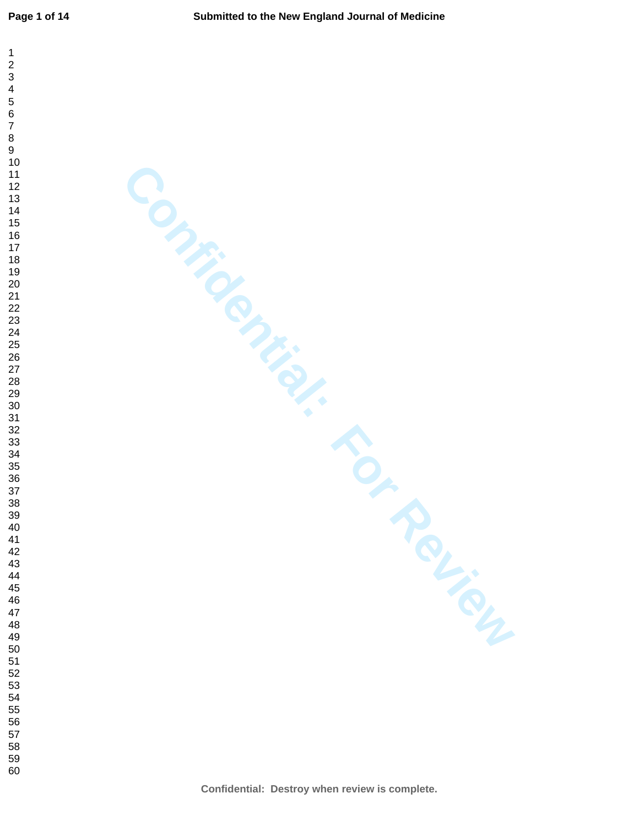**Confidential: Destroy when review is complete.**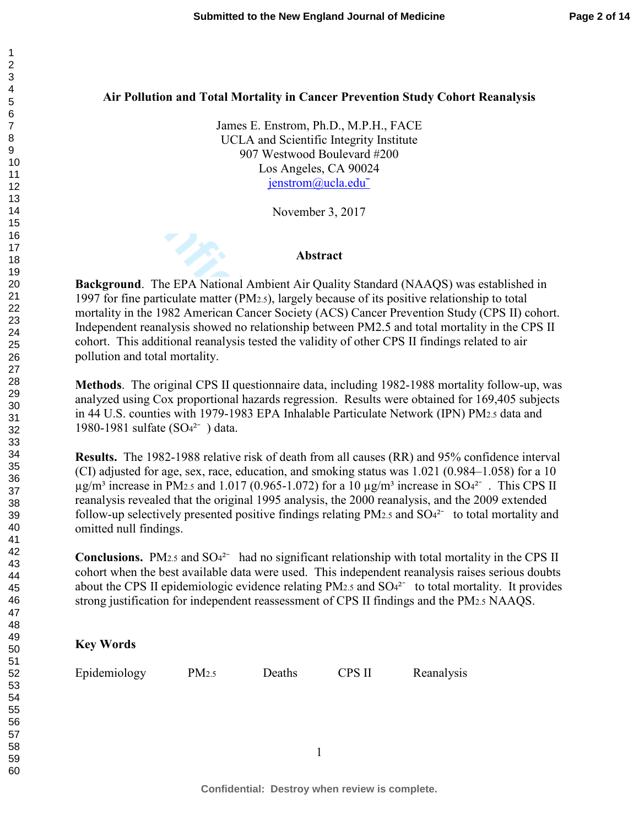### **Air Pollution and Total Mortality in Cancer Prevention Study Cohort Reanalysis**

James E. Enstrom, Ph.D., M.P.H., FACE UCLA and Scientific Integrity Institute 907 Westwood Boulevard #200 Los Angeles, CA 90024 jenstrom@ucla.edu

November 3, 2017

#### **Abstract**

Los Angeles, CA 90024<br>
jenstrom@ucla.edu<sup>T</sup><br>
November 3, 2017<br> **Confidential:** Namelard (NAAQS) was establis<br>
fine particulate matter (PM<sub>2</sub>5), largely because of its positive relationship to to<br>
in the 1982 American Canc **Background**. The EPA National Ambient Air Quality Standard (NAAQS) was established in 1997 for fine particulate matter (PM2.5), largely because of its positive relationship to total mortality in the 1982 American Cancer Society (ACS) Cancer Prevention Study (CPS II) cohort. Independent reanalysis showed no relationship between PM2.5 and total mortality in the CPS II cohort. This additional reanalysis tested the validity of other CPS II findings related to air pollution and total mortality.

**Methods**. The original CPS II questionnaire data, including 1982-1988 mortality follow-up, was analyzed using Cox proportional hazards regression. Results were obtained for 169,405 subjects in 44 U.S. counties with 1979-1983 EPA Inhalable Particulate Network (IPN) PM2.5 data and 1980-1981 sulfate (SO<sub>4</sub><sup>2-</sup>) data.

**Results.** The 1982-1988 relative risk of death from all causes (RR) and 95% confidence interval (CI) adjusted for age, sex, race, education, and smoking status was 1.021 (0.984–1.058) for a 10  $\mu$ g/m<sup>3</sup> increase in PM<sub>2.5</sub> and 1.017 (0.965-1.072) for a 10  $\mu$ g/m<sup>3</sup> increase in SO<sub>4</sub><sup>2-</sup>. This CPS II reanalysis revealed that the original 1995 analysis, the 2000 reanalysis, and the 2009 extended follow-up selectively presented positive findings relating  $PM_{2.5}$  and  $SO_4^{2-}$  to total mortality and omitted null findings.

**Conclusions.** PM<sub>2.5</sub> and  $SO<sub>4</sub><sup>2</sup>$  had no significant relationship with total mortality in the CPS II cohort when the best available data were used. This independent reanalysis raises serious doubts about the CPS II epidemiologic evidence relating  $PM_{2.5}$  and  $SO_4^{2-}$  to total mortality. It provides strong justification for independent reassessment of CPS II findings and the PM2.5 NAAQS.

### **Key Words**

Epidemiology PM2.5 Deaths CPS II Reanalysis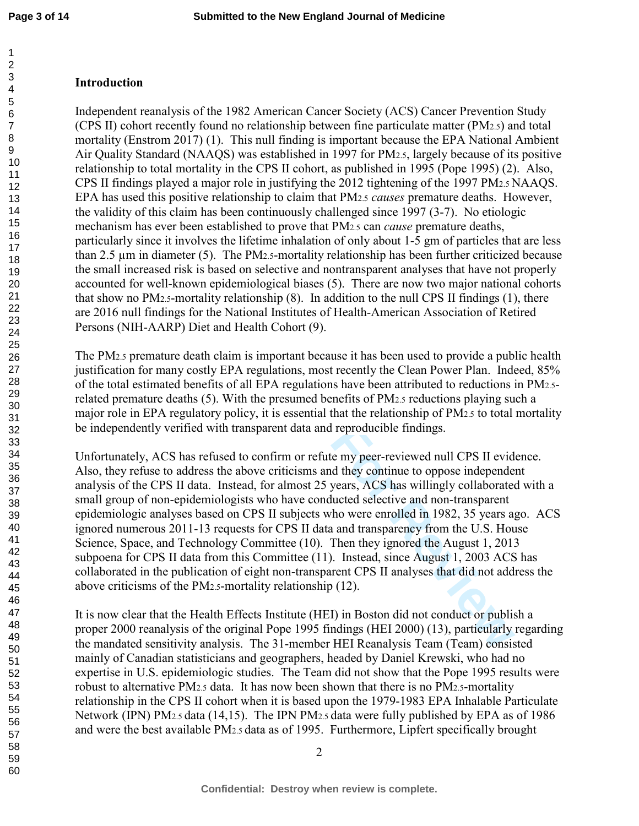#### 2 3 4 5 6 7 8 9 10 11 12 13 14 15 16 17 18 19 20 21 22 23 24 25 26 27 28 29 30 31 32 33 34 35 36 37 38 39 40 41 42 43 44 45 46 47 48 49 50 51 52 53 54 55 56 57 58 59

60

# **Introduction**

rip to total mortality in the CPS II cohort, as published in 1995 (Pope 1995) (2)<br>adaptings played a major role in justifying the 2012 tighteming of the 1997 PM2s How and this positive crlationship to claim that PM2s *caus* Independent reanalysis of the 1982 American Cancer Society (ACS) Cancer Prevention Study (CPS II) cohort recently found no relationship between fine particulate matter (PM2.5) and total mortality (Enstrom 2017) (1). This null finding is important because the EPA National Ambient Air Quality Standard (NAAQS) was established in 1997 for PM2.5, largely because of its positive relationship to total mortality in the CPS II cohort, as published in 1995 (Pope 1995) (2). Also, CPS II findings played a major role in justifying the 2012 tightening of the 1997 PM2.5 NAAQS. EPA has used this positive relationship to claim that PM2.5 *causes* premature deaths. However, the validity of this claim has been continuously challenged since 1997 (3-7). No etiologic mechanism has ever been established to prove that PM2.5 can *cause* premature deaths, particularly since it involves the lifetime inhalation of only about 1-5 gm of particles that are less than 2.5 µm in diameter (5). The PM2.5-mortality relationship has been further criticized because the small increased risk is based on selective and nontransparent analyses that have not properly accounted for well-known epidemiological biases (5). There are now two major national cohorts that show no PM2.5-mortality relationship (8). In addition to the null CPS II findings (1), there are 2016 null findings for the National Institutes of Health-American Association of Retired Persons (NIH-AARP) Diet and Health Cohort (9).

The PM2.5 premature death claim is important because it has been used to provide a public health justification for many costly EPA regulations, most recently the Clean Power Plan. Indeed, 85% of the total estimated benefits of all EPA regulations have been attributed to reductions in PM2.5 related premature deaths (5). With the presumed benefits of PM2.5 reductions playing such a major role in EPA regulatory policy, it is essential that the relationship of PM2.5 to total mortality be independently verified with transparent data and reproducible findings.

Unfortunately, ACS has refused to confirm or refute my peer-reviewed null CPS II evidence. Also, they refuse to address the above criticisms and they continue to oppose independent analysis of the CPS II data. Instead, for almost 25 years, ACS has willingly collaborated with a small group of non-epidemiologists who have conducted selective and non-transparent epidemiologic analyses based on CPS II subjects who were enrolled in 1982, 35 years ago. ACS ignored numerous 2011-13 requests for CPS II data and transparency from the U.S. House Science, Space, and Technology Committee (10). Then they ignored the August 1, 2013 subpoena for CPS II data from this Committee (11). Instead, since August 1, 2003 ACS has collaborated in the publication of eight non-transparent CPS II analyses that did not address the above criticisms of the PM2.5-mortality relationship (12).

It is now clear that the Health Effects Institute (HEI) in Boston did not conduct or publish a proper 2000 reanalysis of the original Pope 1995 findings (HEI 2000) (13), particularly regarding the mandated sensitivity analysis. The 31-member HEI Reanalysis Team (Team) consisted mainly of Canadian statisticians and geographers, headed by Daniel Krewski, who had no expertise in U.S. epidemiologic studies. The Team did not show that the Pope 1995 results were robust to alternative PM2.5 data. It has now been shown that there is no PM2.5-mortality relationship in the CPS II cohort when it is based upon the 1979-1983 EPA Inhalable Particulate Network (IPN) PM2.5 data (14,15). The IPN PM2.5 data were fully published by EPA as of 1986 and were the best available PM2.5 data as of 1995. Furthermore, Lipfert specifically brought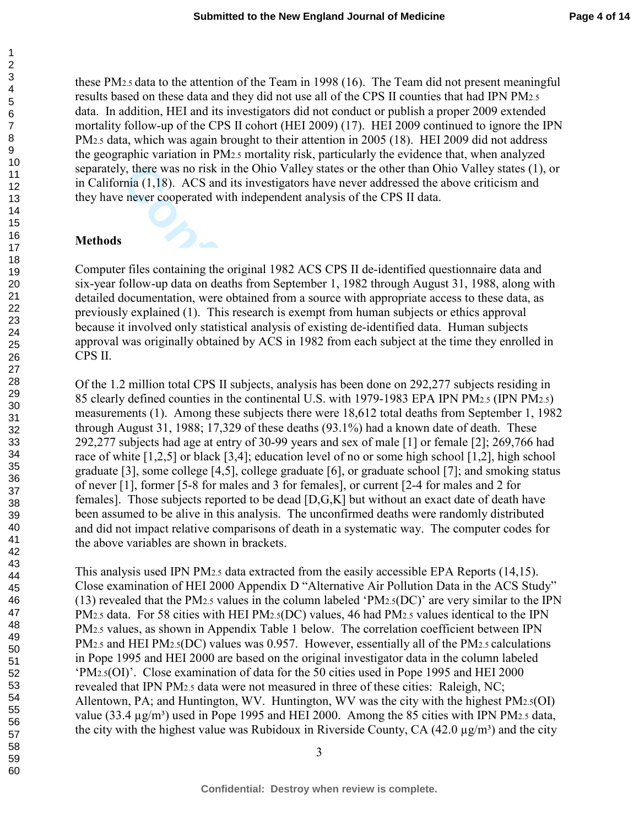these PM2.5 data to the attention of the Team in 1998 (16). The Team did not present meaningful results based on these data and they did not use all of the CPS II counties that had IPN PM2.5 data. In addition, HEI and its investigators did not conduct or publish a proper 2009 extended mortality follow-up of the CPS II cohort (HEI 2009) (17). HEI 2009 continued to ignore the IPN PM2.5 data, which was again brought to their attention in 2005 (18). HEI 2009 did not address the geographic variation in PM2.5 mortality risk, particularly the evidence that, when analyzed separately, there was no risk in the Ohio Valley states or the other than Ohio Valley states (1), or in California (1,18). ACS and its investigators have never addressed the above criticism and they have never cooperated with independent analysis of the CPS II data.

### **Methods**

Computer files containing the original 1982 ACS CPS II de-identified questionnaire data and six-year follow-up data on deaths from September 1, 1982 through August 31, 1988, along with detailed documentation, were obtained from a source with appropriate access to these data, as previously explained (1). This research is exempt from human subjects or ethics approval because it involved only statistical analysis of existing de-identified data. Human subjects approval was originally obtained by ACS in 1982 from each subject at the time they enrolled in CPS II.

y, there was no risk in the Ohio Valley states or the other than Ohio Valley stat<br>mia (1,18). ACS and its investigators have never addressed the above criticism<br>review cooperated with independent analysis of the CPS II dat Of the 1.2 million total CPS II subjects, analysis has been done on 292,277 subjects residing in 85 clearly defined counties in the continental U.S. with 1979-1983 EPA IPN PM2.5 (IPN PM2.5) measurements (1). Among these subjects there were 18,612 total deaths from September 1, 1982 through August 31, 1988; 17,329 of these deaths (93.1%) had a known date of death. These 292,277 subjects had age at entry of 30-99 years and sex of male [1] or female [2]; 269,766 had race of white [1,2,5] or black [3,4]; education level of no or some high school [1,2], high school graduate [3], some college [4,5], college graduate [6], or graduate school [7]; and smoking status of never [1], former [5-8 for males and 3 for females], or current [2-4 for males and 2 for females]. Those subjects reported to be dead [D,G,K] but without an exact date of death have been assumed to be alive in this analysis. The unconfirmed deaths were randomly distributed and did not impact relative comparisons of death in a systematic way. The computer codes for the above variables are shown in brackets.

This analysis used IPN PM2.5 data extracted from the easily accessible EPA Reports (14,15). Close examination of HEI 2000 Appendix D "Alternative Air Pollution Data in the ACS Study" (13) revealed that the PM2.5 values in the column labeled 'PM2.5(DC)' are very similar to the IPN PM2.5 data. For 58 cities with HEI PM2.5(DC) values, 46 had PM2.5 values identical to the IPN PM2.5 values, as shown in Appendix Table 1 below. The correlation coefficient between IPN PM2.5 and HEI PM2.5(DC) values was 0.957. However, essentially all of the PM2.5 calculations in Pope 1995 and HEI 2000 are based on the original investigator data in the column labeled 'PM2.5(OI)'. Close examination of data for the 50 cities used in Pope 1995 and HEI 2000 revealed that IPN PM2.5 data were not measured in three of these cities: Raleigh, NC; Allentown, PA; and Huntington, WV. Huntington, WV was the city with the highest PM2.5(OI) value  $(33.4 \,\mu$ g/m<sup>3</sup>) used in Pope 1995 and HEI 2000. Among the 85 cities with IPN PM<sub>2.5</sub> data, the city with the highest value was Rubidoux in Riverside County, CA  $(42.0 \mu g/m<sup>3</sup>)$  and the city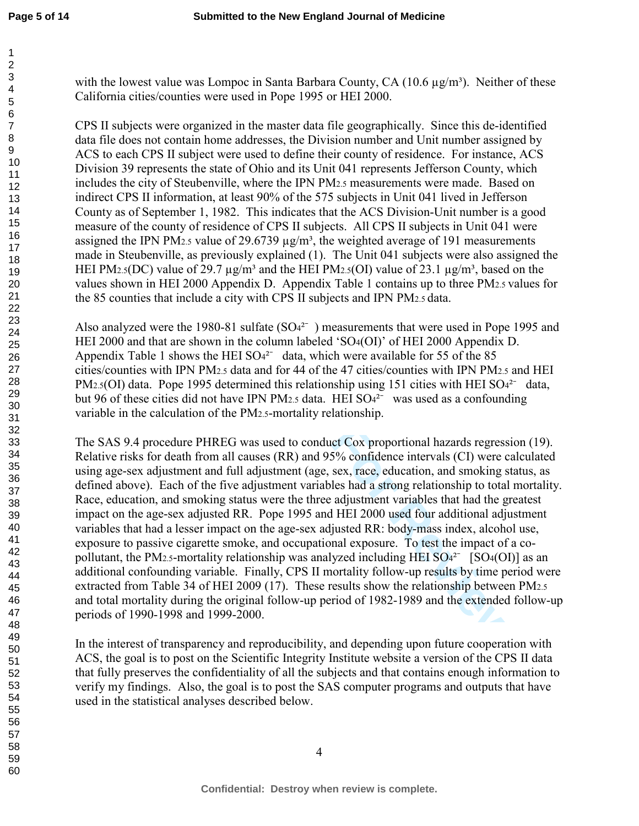with the lowest value was Lompoc in Santa Barbara County, CA  $(10.6 \mu g/m<sup>3</sup>)$ . Neither of these California cities/counties were used in Pope 1995 or HEI 2000.

CPS II subjects were organized in the master data file geographically. Since this de-identified data file does not contain home addresses, the Division number and Unit number assigned by ACS to each CPS II subject were used to define their county of residence. For instance, ACS Division 39 represents the state of Ohio and its Unit 041 represents Jefferson County, which includes the city of Steubenville, where the IPN PM2.5 measurements were made. Based on indirect CPS II information, at least 90% of the 575 subjects in Unit 041 lived in Jefferson County as of September 1, 1982. This indicates that the ACS Division-Unit number is a good measure of the county of residence of CPS II subjects. All CPS II subjects in Unit 041 were assigned the IPN PM<sub>2.5</sub> value of 29.6739  $\mu$ g/m<sup>3</sup>, the weighted average of 191 measurements made in Steubenville, as previously explained (1). The Unit 041 subjects were also assigned the HEI PM2.5(DC) value of 29.7  $\mu$ g/m<sup>3</sup> and the HEI PM2.5(OI) value of 23.1  $\mu$ g/m<sup>3</sup>, based on the values shown in HEI 2000 Appendix D. Appendix Table 1 contains up to three PM2.5 values for the 85 counties that include a city with CPS II subjects and IPN PM2.5 data.

Also analyzed were the 1980-81 sulfate  $(SO4^{2-})$  measurements that were used in Pope 1995 and HEI 2000 and that are shown in the column labeled 'SO4(OI)' of HEI 2000 Appendix D. Appendix Table 1 shows the HEI  $SO_4^2$  data, which were available for 55 of the 85 cities/counties with IPN PM2.5 data and for 44 of the 47 cities/counties with IPN PM2.5 and HEI PM<sub>2.5</sub>(OI) data. Pope 1995 determined this relationship using 151 cities with HEI  $SO<sub>4</sub><sup>2</sup>$  data, but 96 of these cities did not have IPN PM<sub>2.5</sub> data. HEI  $SO<sub>4</sub><sup>2</sup>$  was used as a confounding variable in the calculation of the PM2.5-mortality relationship.

39 represents the state of Ohio and its Unit 041 represents Jefferson County, we<br>consider eity of Steuchaville, where the PN PM2s measurements were made. Bases of Soptember 1, 1982. This indicates that the ACS Division-Uni The SAS 9.4 procedure PHREG was used to conduct Cox proportional hazards regression (19). Relative risks for death from all causes (RR) and 95% confidence intervals (CI) were calculated using age-sex adjustment and full adjustment (age, sex, race, education, and smoking status, as defined above). Each of the five adjustment variables had a strong relationship to total mortality. Race, education, and smoking status were the three adjustment variables that had the greatest impact on the age-sex adjusted RR. Pope 1995 and HEI 2000 used four additional adjustment variables that had a lesser impact on the age-sex adjusted RR: body-mass index, alcohol use, exposure to passive cigarette smoke, and occupational exposure. To test the impact of a copollutant, the PM2.5-mortality relationship was analyzed including HEI  $SO_4^{2-}$  [SO<sub>4</sub>(OI)] as an additional confounding variable. Finally, CPS II mortality follow-up results by time period were extracted from Table 34 of HEI 2009 (17). These results show the relationship between PM2.5 and total mortality during the original follow-up period of 1982-1989 and the extended follow-up periods of 1990-1998 and 1999-2000.

In the interest of transparency and reproducibility, and depending upon future cooperation with ACS, the goal is to post on the Scientific Integrity Institute website a version of the CPS II data that fully preserves the confidentiality of all the subjects and that contains enough information to verify my findings. Also, the goal is to post the SAS computer programs and outputs that have used in the statistical analyses described below.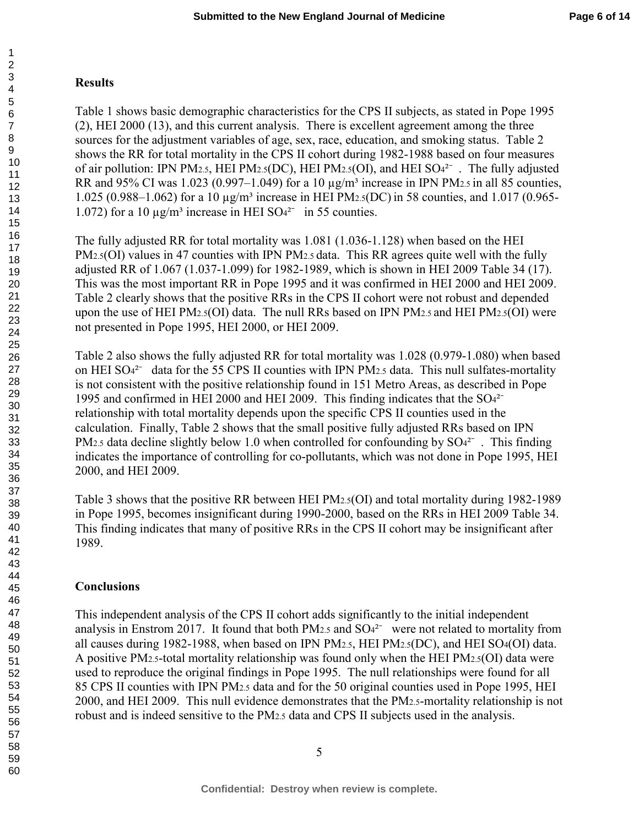## **Results**

Table 1 shows basic demographic characteristics for the CPS II subjects, as stated in Pope 1995 (2), HEI 2000 (13), and this current analysis. There is excellent agreement among the three sources for the adjustment variables of age, sex, race, education, and smoking status. Table 2 shows the RR for total mortality in the CPS II cohort during 1982-1988 based on four measures of air pollution: IPN PM2.5, HEI PM2.5(DC), HEI PM2.5(OI), and HEI  $SO<sup>2</sup>$ . The fully adjusted RR and 95% CI was 1.023 (0.997–1.049) for a 10  $\mu$ g/m<sup>3</sup> increase in IPN PM<sub>2.5</sub> in all 85 counties, 1.025 (0.988–1.062) for a 10 µg/m³ increase in HEI PM2.5(DC) in 58 counties, and 1.017 (0.965- 1.072) for a 10  $\mu$ g/m<sup>3</sup> increase in HEI SO<sub>4</sub><sup>2-</sup> in 55 counties.

The fully adjusted RR for total mortality was 1.081 (1.036-1.128) when based on the HEI PM2.5(OI) values in 47 counties with IPN PM2.5 data. This RR agrees quite well with the fully adjusted RR of 1.067 (1.037-1.099) for 1982-1989, which is shown in HEI 2009 Table 34 (17). This was the most important RR in Pope 1995 and it was confirmed in HEI 2000 and HEI 2009. Table 2 clearly shows that the positive RRs in the CPS II cohort were not robust and depended upon the use of HEI PM2.5(OI) data. The null RRs based on IPN PM2.5 and HEI PM2.5(OI) were not presented in Pope 1995, HEI 2000, or HEI 2009.

lution: IPN PM2<sub>5</sub>, HEI PM<sub>25</sub>(DC), HEI PM2<sub>2</sub>(OI), and HEI SO4<sup>2+</sup>. The fully<br>95% CI was 1.023 (0.997-1.049) for a 10 µg/m<sup>3</sup> increase in HEI PM2<sub>2</sub>(DC) in SS counties, and 1.01<br>988-1.062) for a 10 µg/m<sup>3</sup> increase in HE Table 2 also shows the fully adjusted RR for total mortality was 1.028 (0.979-1.080) when based on HEI  $SO<sub>4</sub><sup>2</sup>$  data for the 55 CPS II counties with IPN PM<sub>2.5</sub> data. This null sulfates-mortality is not consistent with the positive relationship found in 151 Metro Areas, as described in Pope 1995 and confirmed in HEI 2000 and HEI 2009. This finding indicates that the  $SO<sub>4</sub>$ <sup>2</sup> relationship with total mortality depends upon the specific CPS II counties used in the calculation. Finally, Table 2 shows that the small positive fully adjusted RRs based on IPN PM<sub>2.5</sub> data decline slightly below 1.0 when controlled for confounding by  $SO<sub>4</sub><sup>2</sup>$ . This finding indicates the importance of controlling for co-pollutants, which was not done in Pope 1995, HEI 2000, and HEI 2009.

Table 3 shows that the positive RR between HEI PM2.5(OI) and total mortality during 1982-1989 in Pope 1995, becomes insignificant during 1990-2000, based on the RRs in HEI 2009 Table 34. This finding indicates that many of positive RRs in the CPS II cohort may be insignificant after 1989.

# **Conclusions**

This independent analysis of the CPS II cohort adds significantly to the initial independent analysis in Enstrom 2017. It found that both  $PM_{2.5}$  and  $SO_4^{2-}$  were not related to mortality from all causes during 1982-1988, when based on IPN PM2.5, HEI PM2.5(DC), and HEI SO4(OI) data. A positive PM2.5-total mortality relationship was found only when the HEI PM2.5(OI) data were used to reproduce the original findings in Pope 1995. The null relationships were found for all 85 CPS II counties with IPN PM2.5 data and for the 50 original counties used in Pope 1995, HEI 2000, and HEI 2009. This null evidence demonstrates that the PM2.5-mortality relationship is not robust and is indeed sensitive to the PM2.5 data and CPS II subjects used in the analysis.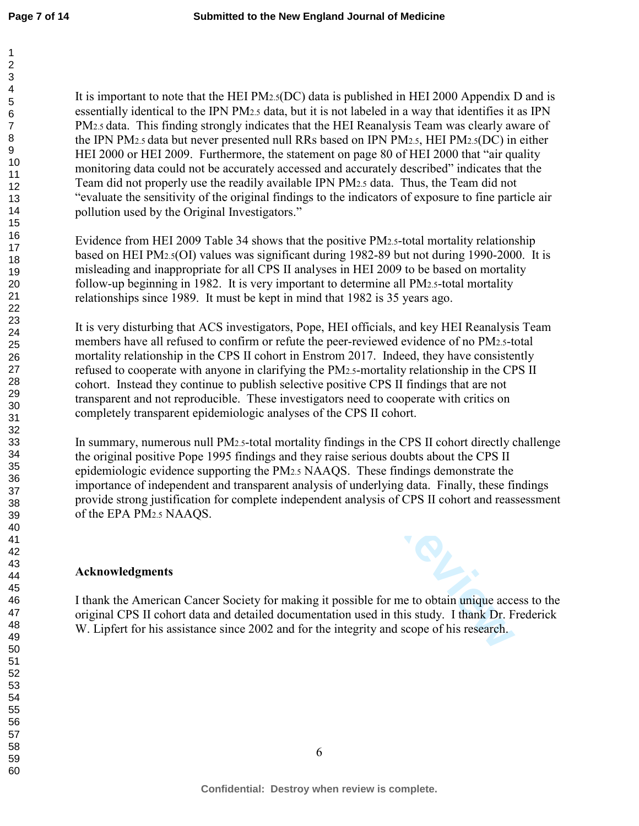It is important to note that the HEI PM2.5(DC) data is published in HEI 2000 Appendix D and is essentially identical to the IPN PM2.5 data, but it is not labeled in a way that identifies it as IPN PM2.5 data. This finding strongly indicates that the HEI Reanalysis Team was clearly aware of the IPN PM2.5 data but never presented null RRs based on IPN PM2.5, HEI PM2.5(DC) in either HEI 2000 or HEI 2009. Furthermore, the statement on page 80 of HEI 2000 that "air quality monitoring data could not be accurately accessed and accurately described" indicates that the Team did not properly use the readily available IPN PM2.5 data. Thus, the Team did not "evaluate the sensitivity of the original findings to the indicators of exposure to fine particle air pollution used by the Original Investigators."

Evidence from HEI 2009 Table 34 shows that the positive PM2.5-total mortality relationship based on HEI PM $_{2.5}$ (OI) values was significant during 1982-89 but not during 1990-2000. It is misleading and inappropriate for all CPS II analyses in HEI 2009 to be based on mortality follow-up beginning in 1982. It is very important to determine all PM2.5-total mortality relationships since 1989. It must be kept in mind that 1982 is 35 years ago.

ng data could not be accurately accessed and accurately described" indicates the not properly use the readity available IPN PM<sub>25</sub> data. Thus, the Team did not be not properly use the readity available IPN PM<sub>25</sub> data. Thu It is very disturbing that ACS investigators, Pope, HEI officials, and key HEI Reanalysis Team members have all refused to confirm or refute the peer-reviewed evidence of no PM2.5-total mortality relationship in the CPS II cohort in Enstrom 2017. Indeed, they have consistently refused to cooperate with anyone in clarifying the PM2.5-mortality relationship in the CPS II cohort. Instead they continue to publish selective positive CPS II findings that are not transparent and not reproducible. These investigators need to cooperate with critics on completely transparent epidemiologic analyses of the CPS II cohort.

In summary, numerous null PM2.5-total mortality findings in the CPS II cohort directly challenge the original positive Pope 1995 findings and they raise serious doubts about the CPS II epidemiologic evidence supporting the PM2.5 NAAQS. These findings demonstrate the importance of independent and transparent analysis of underlying data. Finally, these findings provide strong justification for complete independent analysis of CPS II cohort and reassessment of the EPA PM2.5 NAAQS.

### **Acknowledgments**

I thank the American Cancer Society for making it possible for me to obtain unique access to the original CPS II cohort data and detailed documentation used in this study. I thank Dr. Frederick W. Lipfert for his assistance since 2002 and for the integrity and scope of his research.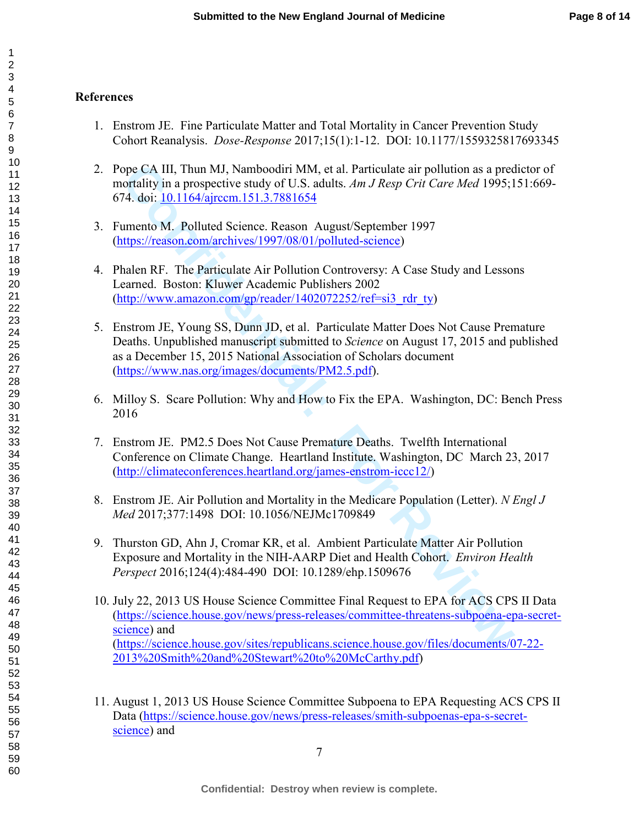# **References**

- 1. Enstrom JE. Fine Particulate Matter and Total Mortality in Cancer Prevention Study Cohort Reanalysis. *Dose-Response* 2017;15(1):1-12. DOI: 10.1177/1559325817693345
- 2. Pope CA III, Thun MJ, Namboodiri MM, et al. Particulate air pollution as a predictor of mortality in a prospective study of U.S. adults. *Am J Resp Crit Care Med* 1995;151:669- 674. doi: 10.1164/ajrccm.151.3.7881654
- 3. Fumento M. Polluted Science. Reason August/September 1997 (https://reason.com/archives/1997/08/01/polluted-science)
- 4. Phalen RF. The Particulate Air Pollution Controversy: A Case Study and Lessons Learned. Boston: Kluwer Academic Publishers 2002  $(http://www.amazon.com/gp/reader/1402072252/ref=si3 rdr ty)$
- 5. Enstrom JE, Young SS, Dunn JD, et al. Particulate Matter Does Not Cause Premature Deaths. Unpublished manuscript submitted to *Science* on August 17, 2015 and published as a December 15, 2015 National Association of Scholars document (https://www.nas.org/images/documents/PM2.5.pdf).
- 6. Milloy S. Scare Pollution: Why and How to Fix the EPA. Washington, DC: Bench Press
- 7. Enstrom JE. PM2.5 Does Not Cause Premature Deaths. Twelfth International Conference on Climate Change. Heartland Institute. Washington, DC March 23, 2017 (http://climateconferences.heartland.org/james-enstrom-iccc12/)
- 8. Enstrom JE. Air Pollution and Mortality in the Medicare Population (Letter). *N Engl J Med* 2017;377:1498 DOI: 10.1056/NEJMc1709849
- 9. Thurston GD, Ahn J, Cromar KR, et al. Ambient Particulate Matter Air Pollution Exposure and Mortality in the NIH-AARP Diet and Health Cohort. *Environ Health Perspect* 2016;124(4):484-490 DOI: 10.1289/ehp.1509676
- ope CA III, Thun MJ, Namboodiri MM, et al. Particulate air pollution as a preordative in a prospective study of U.S. adults. *Am J Resp Crit Care Med* 1995;1<br>
4/4. doi: <u>10.1164/ajrecm, 151.3.7881654</u><br>
umento M. Polluted S 10. July 22, 2013 US House Science Committee Final Request to EPA for ACS CPS II Data (https://science.house.gov/news/press-releases/committee-threatens-subpoena-epa-secretscience) and (https://science.house.gov/sites/republicans.science.house.gov/files/documents/07-22- 2013%20Smith%20and%20Stewart%20to%20McCarthy.pdf)
- 11. August 1, 2013 US House Science Committee Subpoena to EPA Requesting ACS CPS II Data (https://science.house.gov/news/press-releases/smith-subpoenas-epa-s-secretscience) and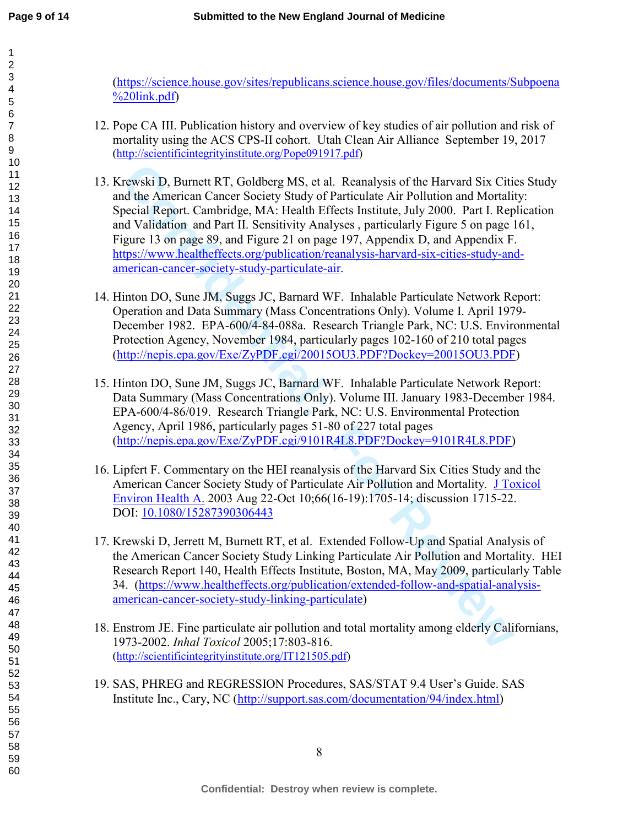(https://science.house.gov/sites/republicans.science.house.gov/files/documents/Subpoena  $\frac{\% 20$ link.pdf

- 12. Pope CA III. Publication history and overview of key studies of air pollution and risk of mortality using the ACS CPS-II cohort. Utah Clean Air Alliance September 19, 2017 (http://scientificintegrityinstitute.org/Pope091917.pdf)
- rewski D, Burnett RT, Goldberg MS, et al. Reanalysis of the Harvard Six Citid<br>the American Cancer Society Study of Particulate Air Pollution and Mortali<br>pecial Report. Cambridge, MA: Health Eiffetse Institute, July 2000. P 13. Krewski D, Burnett RT, Goldberg MS, et al. Reanalysis of the Harvard Six Cities Study and the American Cancer Society Study of Particulate Air Pollution and Mortality: Special Report. Cambridge, MA: Health Effects Institute, July 2000. Part I. Replication and Validation and Part II. Sensitivity Analyses , particularly Figure 5 on page 161, Figure 13 on page 89, and Figure 21 on page 197, Appendix D, and Appendix F. https://www.healtheffects.org/publication/reanalysis-harvard-six-cities-study-andamerican-cancer-society-study-particulate-air.
- 14. Hinton DO, Sune JM, Suggs JC, Barnard WF. Inhalable Particulate Network Report: Operation and Data Summary (Mass Concentrations Only). Volume I. April 1979- December 1982. EPA-600/4-84-088a. Research Triangle Park, NC: U.S. Environmental Protection Agency, November 1984, particularly pages 102-160 of 210 total pages (http://nepis.epa.gov/Exe/ZyPDF.cgi/20015OU3.PDF?Dockey=20015OU3.PDF)
- 15. Hinton DO, Sune JM, Suggs JC, Barnard WF. Inhalable Particulate Network Report: Data Summary (Mass Concentrations Only). Volume III. January 1983-December 1984. EPA-600/4-86/019. Research Triangle Park, NC: U.S. Environmental Protection Agency, April 1986, particularly pages 51-80 of 227 total pages (http://nepis.epa.gov/Exe/ZyPDF.cgi/9101R4L8.PDF?Dockey=9101R4L8.PDF)
- 16. Lipfert F. Commentary on the HEI reanalysis of the Harvard Six Cities Study and the American Cancer Society Study of Particulate Air Pollution and Mortality. J Toxicol Environ Health A. 2003 Aug 22-Oct 10;66(16-19):1705-14; discussion 1715-22. DOI: 10.1080/15287390306443
- 17. Krewski D, Jerrett M, Burnett RT, et al. Extended Follow-Up and Spatial Analysis of the American Cancer Society Study Linking Particulate Air Pollution and Mortality. HEI Research Report 140, Health Effects Institute, Boston, MA, May 2009, particularly Table 34. (https://www.healtheffects.org/publication/extended-follow-and-spatial-analysisamerican-cancer-society-study-linking-particulate)
- 18. Enstrom JE. Fine particulate air pollution and total mortality among elderly Californians, 1973-2002. *Inhal Toxicol* 2005;17:803-816. (http://scientificintegrityinstitute.org/IT121505.pdf)
- 19. SAS, PHREG and REGRESSION Procedures, SAS/STAT 9.4 User's Guide. SAS Institute Inc., Cary, NC (http://support.sas.com/documentation/94/index.html)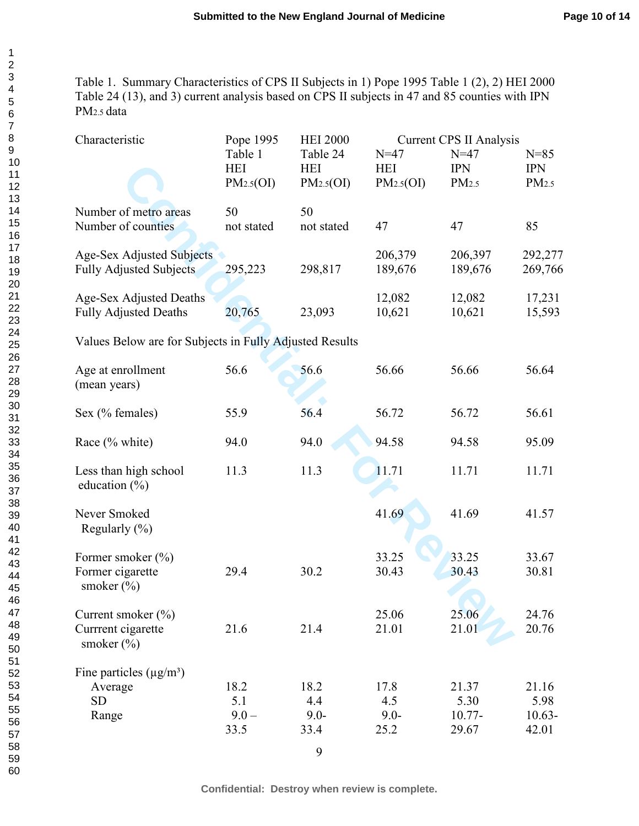Table 1. Summary Characteristics of CPS II Subjects in 1) Pope 1995 Table 1 (2), 2) HEI 2000 Table 24 (13), and 3) current analysis based on CPS II subjects in 47 and 85 counties with IPN PM2.5 data

| Characteristic |                                                         | Pope 1995  | <b>HEI 2000</b> | <b>Current CPS II Analysis</b> |            |            |
|----------------|---------------------------------------------------------|------------|-----------------|--------------------------------|------------|------------|
|                |                                                         | Table 1    | Table 24        | $N=47$                         | $N=47$     | $N=85$     |
|                |                                                         | <b>HEI</b> | <b>HEI</b>      | <b>HEI</b>                     | <b>IPN</b> | <b>IPN</b> |
|                |                                                         | PM2.5(OI)  | PM2.5(OI)       | PM2.5(OI)                      | PM2.5      | PM2.5      |
|                |                                                         |            |                 |                                |            |            |
|                | Number of metro areas                                   | 50         | 50              |                                |            |            |
|                | Number of counties                                      | not stated | not stated      | 47                             | 47         | 85         |
|                |                                                         |            |                 |                                |            |            |
|                | Age-Sex Adjusted Subjects                               |            |                 | 206,379                        | 206,397    | 292,277    |
|                | <b>Fully Adjusted Subjects</b>                          | 295,223    | 298,817         | 189,676                        | 189,676    | 269,766    |
|                |                                                         |            |                 |                                |            |            |
|                | Age-Sex Adjusted Deaths                                 |            |                 | 12,082                         | 12,082     | 17,231     |
|                | <b>Fully Adjusted Deaths</b>                            | 20,765     | 23,093          | 10,621                         | 10,621     | 15,593     |
|                |                                                         |            |                 |                                |            |            |
|                | Values Below are for Subjects in Fully Adjusted Results |            |                 |                                |            |            |
|                |                                                         |            |                 |                                |            |            |
|                | Age at enrollment                                       | 56.6       | 56.6            | 56.66                          | 56.66      | 56.64      |
|                | (mean years)                                            |            |                 |                                |            |            |
|                |                                                         |            |                 |                                |            |            |
|                | Sex (% females)                                         | 55.9       | 56.4            | 56.72                          | 56.72      | 56.61      |
|                |                                                         |            |                 |                                |            |            |
|                | Race (% white)                                          | 94.0       | 94.0            | 94.58                          | 94.58      | 95.09      |
|                |                                                         |            |                 |                                |            |            |
|                | Less than high school                                   | 11.3       | 11.3            | 11.71                          | 11.71      | 11.71      |
|                | education $(\% )$                                       |            |                 |                                |            |            |
|                |                                                         |            |                 |                                |            |            |
|                | Never Smoked                                            |            |                 | 41.69                          | 41.69      | 41.57      |
|                | Regularly $(\% )$                                       |            |                 |                                |            |            |
|                |                                                         |            |                 |                                |            |            |
|                | Former smoker $(\% )$                                   |            |                 | 33.25                          | 33.25      | 33.67      |
|                | Former cigarette                                        | 29.4       | 30.2            | 30.43                          | 30.43      | 30.81      |
|                | smoker $(\%)$                                           |            |                 |                                |            |            |
|                |                                                         |            |                 |                                |            |            |
|                | Current smoker (%)                                      | 21.6       |                 | 25.06                          | 25.06      | 24.76      |
|                | Currrent cigarette                                      |            | 21.4            | 21.01                          | 21.01      | 20.76      |
|                | smoker $(\% )$                                          |            |                 |                                |            |            |
|                | Fine particles $(\mu g/m^3)$                            |            |                 |                                |            |            |
|                | Average                                                 | 18.2       | 18.2            | 17.8                           | 21.37      | 21.16      |
|                | <b>SD</b>                                               | 5.1        | 4.4             | 4.5                            | 5.30       | 5.98       |
|                | Range                                                   | $9.0 -$    | $9.0 -$         | $9.0 -$                        | $10.77 -$  | $10.63 -$  |
|                |                                                         | 33.5       | 33.4            | 25.2                           | 29.67      | 42.01      |
|                |                                                         |            |                 |                                |            |            |
|                |                                                         |            | 9               |                                |            |            |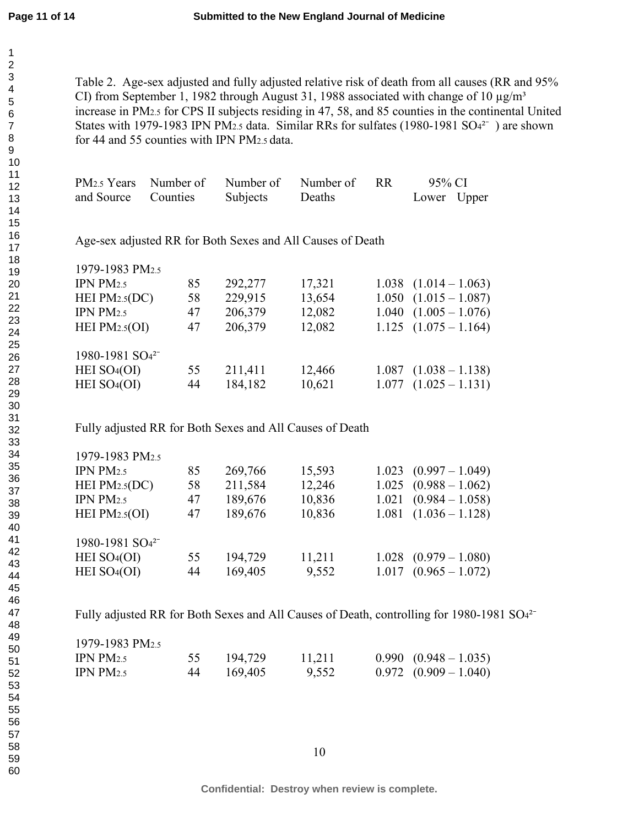## **Page 11 of 14**

|                                                            |                       | for 44 and 55 counties with IPN PM2.5 data. |                     |           |                                                                                                       |
|------------------------------------------------------------|-----------------------|---------------------------------------------|---------------------|-----------|-------------------------------------------------------------------------------------------------------|
| PM <sub>2.5</sub> Years<br>and Source                      | Number of<br>Counties | Number of<br>Subjects                       | Number of<br>Deaths | <b>RR</b> | 95% CI<br>Lower Upper                                                                                 |
| Age-sex adjusted RR for Both Sexes and All Causes of Death |                       |                                             |                     |           |                                                                                                       |
| 1979-1983 PM2.5                                            |                       |                                             |                     |           |                                                                                                       |
| IPN PM <sub>2.5</sub>                                      | 85                    | 292,277                                     | 17,321              |           | $1.038$ $(1.014 - 1.063)$                                                                             |
| HEI $PM2.5(DC)$                                            | 58                    | 229,915                                     | 13,654              |           | $1.050$ $(1.015 - 1.087)$                                                                             |
| IPN PM <sub>2.5</sub>                                      | 47                    | 206,379                                     | 12,082              |           | $1.040$ $(1.005 - 1.076)$                                                                             |
| HEI $PM2.5(OI)$                                            | 47                    | 206,379                                     | 12,082              |           | $1.125$ $(1.075 - 1.164)$                                                                             |
| 1980-1981 SO <sub>42</sub> -                               |                       |                                             |                     |           |                                                                                                       |
| HEI SO <sub>4</sub> (OI)                                   | 55                    | 211,411                                     | 12,466              |           | $1.087$ $(1.038 - 1.138)$                                                                             |
| HEI SO <sub>4</sub> (OI)                                   | 44                    | 184,182                                     | 10,621              |           | $1.077$ $(1.025 - 1.131)$                                                                             |
| Fully adjusted RR for Both Sexes and All Causes of Death   |                       |                                             |                     |           |                                                                                                       |
| 1979-1983 PM2.5                                            |                       |                                             |                     |           |                                                                                                       |
| IPN PM <sub>2.5</sub>                                      | 85                    | 269,766                                     | 15,593              |           | $1.023$ $(0.997 - 1.049)$                                                                             |
| HEI $PM2.5(DC)$                                            | 58                    | 211,584                                     | 12,246              |           | $1.025$ $(0.988 - 1.062)$                                                                             |
| IPN PM <sub>2.5</sub>                                      | 47                    | 189,676                                     | 10,836              |           | $1.021$ $(0.984 - 1.058)$                                                                             |
| HEI PM2.5(OI)                                              | 47                    | 189,676                                     | 10,836              |           | $1.081$ $(1.036 - 1.128)$                                                                             |
| 1980-1981 SO <sub>42</sub> -                               |                       |                                             |                     |           |                                                                                                       |
| HEI SO <sub>4</sub> (OI)                                   | 55                    | 194,729                                     | 11,211              |           | $1.028$ $(0.979 - 1.080)$                                                                             |
| HEI SO <sub>4</sub> (OI)                                   | 44                    | 169,405                                     | 9,552               |           | $1.017$ $(0.965 - 1.072)$                                                                             |
|                                                            |                       |                                             |                     |           | Fully adjusted RR for Both Sexes and All Causes of Death, controlling for 1980-1981 SO4 <sup>2-</sup> |
| 1979-1983 PM2.5                                            |                       |                                             |                     |           |                                                                                                       |
| IPN PM <sub>2.5</sub>                                      | 55                    | 194,729                                     | 11,211              |           | $0.990$ $(0.948 - 1.035)$                                                                             |
| IPN PM <sub>2.5</sub>                                      | 44                    | 169,405                                     | 9,552               |           | $0.972$ $(0.909 - 1.040)$                                                                             |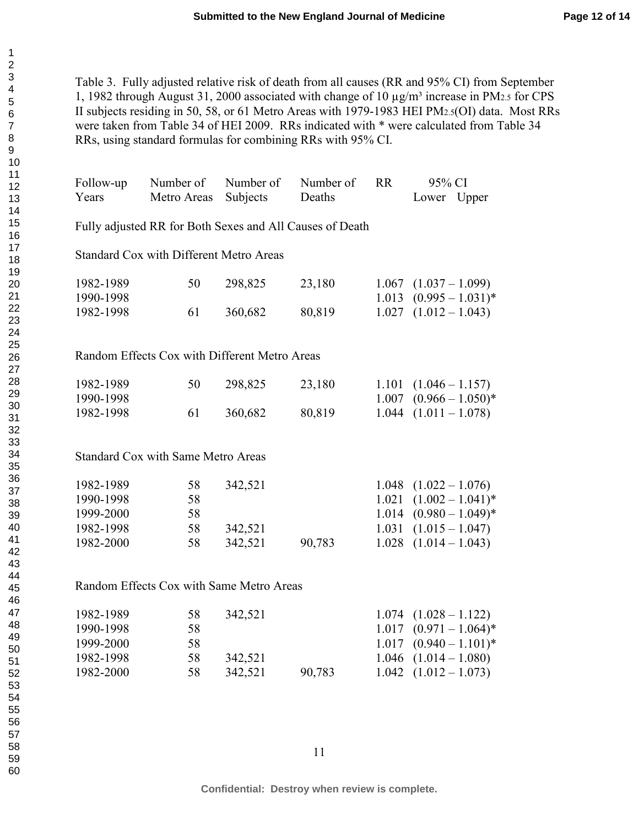Table 3. Fully adjusted relative risk of death from all causes (RR and 95% CI) from September 1, 1982 through August 31, 2000 associated with change of 10  $\mu$ g/m<sup>3</sup> increase in PM<sub>2.5</sub> for CPS II subjects residing in 50, 58, or 61 Metro Areas with 1979-1983 HEI PM2.5(OI) data. Most RRs were taken from Table 34 of HEI 2009. RRs indicated with \* were calculated from Table 34 RRs, using standard formulas for combining RRs with 95% CI.

| Follow-up<br>Years                                       | Number of<br>Metro Areas                       | Number of<br>Subjects | Number of<br>Deaths | RR             | 95% CI<br>Lower Upper                    |  |  |  |  |
|----------------------------------------------------------|------------------------------------------------|-----------------------|---------------------|----------------|------------------------------------------|--|--|--|--|
| Fully adjusted RR for Both Sexes and All Causes of Death |                                                |                       |                     |                |                                          |  |  |  |  |
|                                                          | <b>Standard Cox with Different Metro Areas</b> |                       |                     |                |                                          |  |  |  |  |
| 1982-1989                                                | 50                                             | 298,825               | 23,180              | 1.067          | $(1.037 - 1.099)$                        |  |  |  |  |
| 1990-1998<br>1982-1998                                   | 61                                             | 360,682               | 80,819              | 1.013<br>1.027 | $(0.995 - 1.031)^*$<br>$(1.012 - 1.043)$ |  |  |  |  |
|                                                          | Random Effects Cox with Different Metro Areas  |                       |                     |                |                                          |  |  |  |  |
| 1982-1989                                                | 50                                             | 298,825               | 23,180              | 1.101          | $(1.046 - 1.157)$                        |  |  |  |  |
| 1990-1998                                                |                                                |                       |                     | 1.007          | $(0.966 - 1.050)^*$                      |  |  |  |  |
| 1982-1998                                                | 61                                             | 360,682               | 80,819              | 1.044          | $(1.011 - 1.078)$                        |  |  |  |  |
|                                                          | <b>Standard Cox with Same Metro Areas</b>      |                       |                     |                |                                          |  |  |  |  |
| 1982-1989                                                | 58                                             | 342,521               |                     | 1.048          | $(1.022 - 1.076)$                        |  |  |  |  |
| 1990-1998                                                | 58                                             |                       |                     | 1.021          | $(1.002 - 1.041)^*$                      |  |  |  |  |
| 1999-2000                                                | 58                                             |                       |                     | 1.014          | $(0.980 - 1.049)^*$                      |  |  |  |  |
| 1982-1998                                                | 58                                             | 342,521               |                     | 1.031          | $(1.015 - 1.047)$                        |  |  |  |  |
| 1982-2000                                                | 58                                             | 342,521               | 90,783              | 1.028          | $(1.014 - 1.043)$                        |  |  |  |  |
|                                                          | Random Effects Cox with Same Metro Areas       |                       |                     |                |                                          |  |  |  |  |
| 1982-1989                                                | 58                                             | 342,521               |                     | 1.074          | $(1.028 - 1.122)$                        |  |  |  |  |
| 1990-1998                                                | 58                                             |                       |                     | 1.017          | $(0.971 - 1.064)^*$                      |  |  |  |  |
| 1999-2000                                                | 58                                             |                       |                     | 1.017          | $(0.940 - 1.101)^*$                      |  |  |  |  |
| 1982-1998                                                | 58                                             | 342,521               |                     | 1.046          | $(1.014 - 1.080)$                        |  |  |  |  |
| 1982-2000                                                | 58                                             | 342,521               | 90,783              | 1.042          | $(1.012 - 1.073)$                        |  |  |  |  |
|                                                          |                                                |                       |                     |                |                                          |  |  |  |  |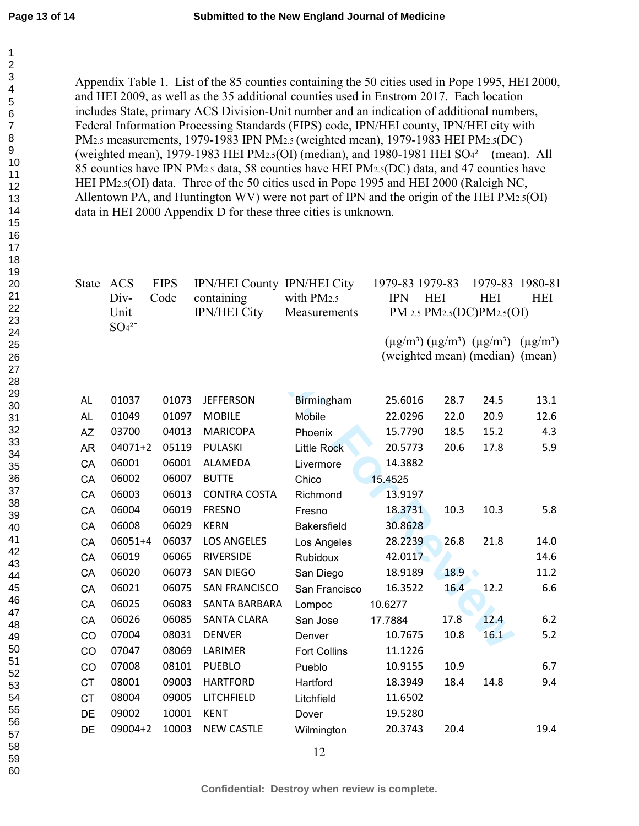| 39 |  |
|----|--|
|    |  |
| 40 |  |
| 41 |  |
|    |  |
| 42 |  |
| 43 |  |
| 44 |  |
|    |  |
| 45 |  |
| 46 |  |
|    |  |
| 47 |  |
| 48 |  |
|    |  |
| 49 |  |
| 50 |  |
| 51 |  |
|    |  |
| 52 |  |
| 53 |  |
|    |  |
| 54 |  |
| 55 |  |
|    |  |
| 56 |  |
| 57 |  |
|    |  |
| 58 |  |
| 59 |  |
| 60 |  |
|    |  |

Appendix Table 1. List of the 85 counties containing the 50 cities used in Pope 1995, HEI 2000, and HEI 2009, as well as the 35 additional counties used in Enstrom 2017. Each location includes State, primary ACS Division-Unit number and an indication of additional numbers, Federal Information Processing Standards (FIPS) code, IPN/HEI county, IPN/HEI city with PM2.5 measurements, 1979-1983 IPN PM2.5 (weighted mean), 1979-1983 HEI PM2.5(DC) (weighted mean), 1979-1983 HEI PM2.5(OI) (median), and 1980-1981 HEI  $SO<sub>4</sub><sup>2</sup>$  (mean). All 85 counties have IPN PM2.5 data, 58 counties have HEI PM2.5(DC) data, and 47 counties have HEI PM2.5(OI) data. Three of the 50 cities used in Pope 1995 and HEI 2000 (Raleigh NC, Allentown PA, and Huntington WV) were not part of IPN and the origin of the HEI PM2.5(OI) data in HEI 2000 Appendix D for these three cities is unknown.

| 85 counties have IPN PM2.5 data, 58 counties have HEI PM2.5(DC) data, and 47 counties have<br>HEI PM2.5(OI) data. Three of the 50 cities used in Pope 1995 and HEI 2000 (Raleigh NC,<br>Allentown PA, and Huntington WV) were not part of IPN and the origin of the HEI PM2.5(OI)<br>data in HEI 2000 Appendix D for these three cities is unknown. |                                                     |                     |                                                                         |                                        |                                                                              |            |                                           |                               |  |
|-----------------------------------------------------------------------------------------------------------------------------------------------------------------------------------------------------------------------------------------------------------------------------------------------------------------------------------------------------|-----------------------------------------------------|---------------------|-------------------------------------------------------------------------|----------------------------------------|------------------------------------------------------------------------------|------------|-------------------------------------------|-------------------------------|--|
| <b>State</b>                                                                                                                                                                                                                                                                                                                                        | ACS<br>Div-<br>Unit<br>SO <sub>4</sub> <sup>2</sup> | <b>FIPS</b><br>Code | <b>IPN/HEI County IPN/HEI City</b><br>containing<br><b>IPN/HEI City</b> | with PM <sub>2.5</sub><br>Measurements | 1979-83 1979-83<br><b>IPN</b>                                                | <b>HEI</b> | <b>HEI</b><br>PM 2.5 $PM2.5(DC)PM2.5(OI)$ | 1979-83 1980-81<br><b>HEI</b> |  |
|                                                                                                                                                                                                                                                                                                                                                     |                                                     |                     |                                                                         |                                        | $(\mu g/m^3)$ $(\mu g/m^3)$ $(\mu g/m^3)$<br>(weighted mean) (median) (mean) |            |                                           | $(\mu g/m^3)$                 |  |
| AL                                                                                                                                                                                                                                                                                                                                                  | 01037                                               | 01073               | <b>JEFFERSON</b>                                                        | Birmingham                             | 25.6016                                                                      | 28.7       | 24.5                                      | 13.1                          |  |
| AL                                                                                                                                                                                                                                                                                                                                                  | 01049                                               | 01097               | <b>MOBILE</b>                                                           | <b>Mobile</b>                          | 22.0296                                                                      | 22.0       | 20.9                                      | 12.6                          |  |
| ΑZ                                                                                                                                                                                                                                                                                                                                                  | 03700                                               | 04013               | <b>MARICOPA</b>                                                         | Phoenix                                | 15.7790                                                                      | 18.5       | 15.2                                      | 4.3                           |  |
| AR                                                                                                                                                                                                                                                                                                                                                  | 04071+2                                             | 05119               | PULASKI                                                                 | <b>Little Rock</b>                     | 20.5773                                                                      | 20.6       | 17.8                                      | 5.9                           |  |
| CA                                                                                                                                                                                                                                                                                                                                                  | 06001                                               | 06001               | ALAMEDA                                                                 | Livermore                              | 14.3882                                                                      |            |                                           |                               |  |
| CA                                                                                                                                                                                                                                                                                                                                                  | 06002                                               | 06007               | <b>BUTTE</b>                                                            | Chico                                  | 15.4525                                                                      |            |                                           |                               |  |
| CA                                                                                                                                                                                                                                                                                                                                                  | 06003                                               | 06013               | <b>CONTRA COSTA</b>                                                     | Richmond                               | 13.9197                                                                      |            |                                           |                               |  |
| CA                                                                                                                                                                                                                                                                                                                                                  | 06004                                               | 06019               | <b>FRESNO</b>                                                           | Fresno                                 | 18.3731                                                                      | 10.3       | 10.3                                      | 5.8                           |  |
| CA                                                                                                                                                                                                                                                                                                                                                  | 06008                                               | 06029               | <b>KERN</b>                                                             | <b>Bakersfield</b>                     | 30.8628                                                                      |            |                                           |                               |  |
| CA                                                                                                                                                                                                                                                                                                                                                  | 06051+4                                             | 06037               | <b>LOS ANGELES</b>                                                      | Los Angeles                            | 28.2239                                                                      | 26.8       | 21.8                                      | 14.0                          |  |
| CA                                                                                                                                                                                                                                                                                                                                                  | 06019                                               | 06065               | <b>RIVERSIDE</b>                                                        | Rubidoux                               | 42.0117                                                                      |            |                                           | 14.6                          |  |
| CA                                                                                                                                                                                                                                                                                                                                                  | 06020                                               | 06073               | <b>SAN DIEGO</b>                                                        | San Diego                              | 18.9189                                                                      | 18.9       |                                           | 11.2                          |  |
| CA                                                                                                                                                                                                                                                                                                                                                  | 06021                                               | 06075               | <b>SAN FRANCISCO</b>                                                    | San Francisco                          | 16.3522                                                                      | 16.4       | 12.2                                      | 6.6                           |  |
| CA                                                                                                                                                                                                                                                                                                                                                  | 06025                                               | 06083               | SANTA BARBARA                                                           | Lompoc                                 | 10.6277                                                                      |            |                                           |                               |  |
| CA                                                                                                                                                                                                                                                                                                                                                  | 06026                                               | 06085               | <b>SANTA CLARA</b>                                                      | San Jose                               | 17.7884                                                                      | 17.8       | 12.4                                      | 6.2                           |  |
| CO                                                                                                                                                                                                                                                                                                                                                  | 07004                                               | 08031               | <b>DENVER</b>                                                           | Denver                                 | 10.7675                                                                      | 10.8       | 16.1                                      | 5.2                           |  |
| CO                                                                                                                                                                                                                                                                                                                                                  | 07047                                               | 08069               | LARIMER                                                                 | <b>Fort Collins</b>                    | 11.1226                                                                      |            |                                           |                               |  |
| CO                                                                                                                                                                                                                                                                                                                                                  | 07008                                               | 08101               | <b>PUEBLO</b>                                                           | Pueblo                                 | 10.9155                                                                      | 10.9       |                                           | 6.7                           |  |
| <b>CT</b>                                                                                                                                                                                                                                                                                                                                           | 08001                                               | 09003               | <b>HARTFORD</b>                                                         | Hartford                               | 18.3949                                                                      | 18.4       | 14.8                                      | 9.4                           |  |
| <b>CT</b>                                                                                                                                                                                                                                                                                                                                           | 08004                                               | 09005               | LITCHFIELD                                                              | Litchfield                             | 11.6502                                                                      |            |                                           |                               |  |
| DE                                                                                                                                                                                                                                                                                                                                                  | 09002                                               | 10001               | <b>KENT</b>                                                             | Dover                                  | 19.5280                                                                      |            |                                           |                               |  |
| DE                                                                                                                                                                                                                                                                                                                                                  | 09004+2                                             | 10003               | <b>NEW CASTLE</b>                                                       | Wilmington                             | 20.3743                                                                      | 20.4       |                                           | 19.4                          |  |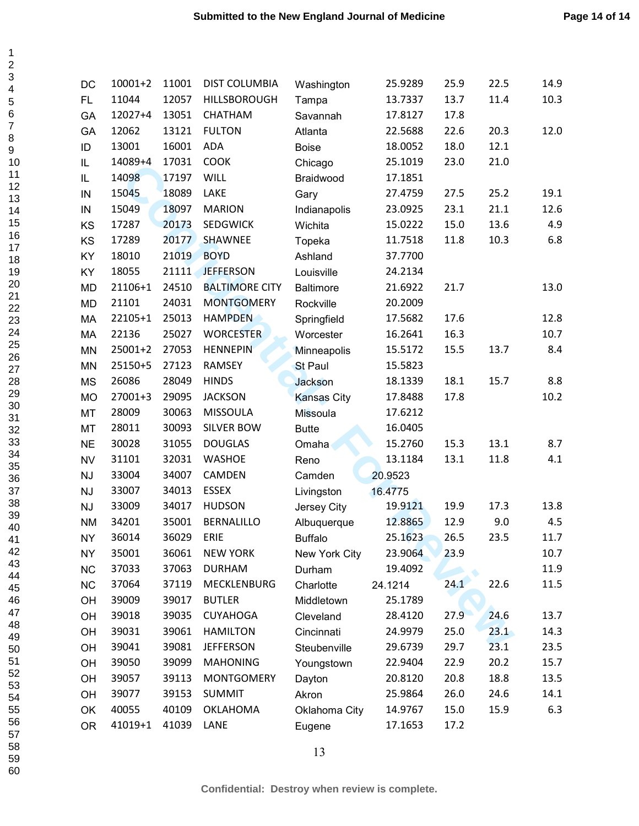| DC        | $10001 + 2$ | 11001 | <b>DIST COLUMBIA</b>  | Washington         | 25.9289 | 25.9 | 22.5 | 14.9 |
|-----------|-------------|-------|-----------------------|--------------------|---------|------|------|------|
| FL.       | 11044       | 12057 | <b>HILLSBOROUGH</b>   | Tampa              | 13.7337 | 13.7 | 11.4 | 10.3 |
| GA        | 12027+4     | 13051 | CHATHAM               | Savannah           | 17.8127 | 17.8 |      |      |
| GA        | 12062       | 13121 | <b>FULTON</b>         | Atlanta            | 22.5688 | 22.6 | 20.3 | 12.0 |
| ID        | 13001       | 16001 | <b>ADA</b>            | <b>Boise</b>       | 18.0052 | 18.0 | 12.1 |      |
| IL        | 14089+4     | 17031 | <b>COOK</b>           | Chicago            | 25.1019 | 23.0 | 21.0 |      |
| IL        | 14098       | 17197 | WILL                  | Braidwood          | 17.1851 |      |      |      |
| IN        | 15045       | 18089 | LAKE                  | Gary               | 27.4759 | 27.5 | 25.2 | 19.1 |
| IN        | 15049       | 18097 | <b>MARION</b>         | Indianapolis       | 23.0925 | 23.1 | 21.1 | 12.6 |
| KS        | 17287       | 20173 | <b>SEDGWICK</b>       | Wichita            | 15.0222 | 15.0 | 13.6 | 4.9  |
| KS        | 17289       | 20177 | <b>SHAWNEE</b>        | Topeka             | 11.7518 | 11.8 | 10.3 | 6.8  |
| KY        | 18010       | 21019 | <b>BOYD</b>           | Ashland            | 37.7700 |      |      |      |
| KY        | 18055       | 21111 | <b>JEFFERSON</b>      | Louisville         | 24.2134 |      |      |      |
| <b>MD</b> | 21106+1     | 24510 | <b>BALTIMORE CITY</b> | <b>Baltimore</b>   | 21.6922 | 21.7 |      | 13.0 |
| MD        | 21101       | 24031 | <b>MONTGOMERY</b>     | Rockville          | 20.2009 |      |      |      |
| MA        | 22105+1     | 25013 | <b>HAMPDEN</b>        | Springfield        | 17.5682 | 17.6 |      | 12.8 |
| MA        | 22136       | 25027 | <b>WORCESTER</b>      | Worcester          | 16.2641 | 16.3 |      | 10.7 |
| <b>MN</b> | $25001+2$   | 27053 | <b>HENNEPIN</b>       | Minneapolis        | 15.5172 | 15.5 | 13.7 | 8.4  |
| MN        | 25150+5     | 27123 | <b>RAMSEY</b>         | <b>St Paul</b>     | 15.5823 |      |      |      |
| <b>MS</b> | 26086       | 28049 | <b>HINDS</b>          | Jackson            | 18.1339 | 18.1 | 15.7 | 8.8  |
| <b>MO</b> | 27001+3     | 29095 | <b>JACKSON</b>        | <b>Kansas City</b> | 17.8488 | 17.8 |      | 10.2 |
| MT        | 28009       | 30063 | <b>MISSOULA</b>       | Missoula           | 17.6212 |      |      |      |
| MT        | 28011       | 30093 | <b>SILVER BOW</b>     | <b>Butte</b>       | 16.0405 |      |      |      |
| <b>NE</b> | 30028       | 31055 | <b>DOUGLAS</b>        | Omaha              | 15.2760 | 15.3 | 13.1 | 8.7  |
| <b>NV</b> | 31101       | 32031 | <b>WASHOE</b>         | Reno               | 13.1184 | 13.1 | 11.8 | 4.1  |
| NJ        | 33004       | 34007 | <b>CAMDEN</b>         | Camden             | 20.9523 |      |      |      |
| <b>NJ</b> | 33007       | 34013 | <b>ESSEX</b>          | Livingston         | 16.4775 |      |      |      |
| NJ        | 33009       | 34017 | <b>HUDSON</b>         | Jersey City        | 19.9121 | 19.9 | 17.3 | 13.8 |
| <b>NM</b> | 34201       | 35001 | <b>BERNALILLO</b>     | Albuquerque        | 12.8865 | 12.9 | 9.0  | 4.5  |
| NY        | 36014       | 36029 | ERIE                  | Buffalo            | 25.1623 | 26.5 | 23.5 | 11.7 |
| NY.       | 35001       | 36061 | <b>NEW YORK</b>       | New York City      | 23.9064 | 23.9 |      | 10.7 |
| <b>NC</b> | 37033       | 37063 | <b>DURHAM</b>         | Durham             | 19.4092 |      |      | 11.9 |
| <b>NC</b> | 37064       | 37119 | <b>MECKLENBURG</b>    | Charlotte          | 24.1214 | 24.1 | 22.6 | 11.5 |
| OH        | 39009       | 39017 | <b>BUTLER</b>         | Middletown         | 25.1789 |      |      |      |
| OH        | 39018       | 39035 | <b>CUYAHOGA</b>       | Cleveland          | 28.4120 | 27.9 | 24.6 | 13.7 |
| OH        | 39031       | 39061 | <b>HAMILTON</b>       | Cincinnati         | 24.9979 | 25.0 | 23.1 | 14.3 |
| OH        | 39041       | 39081 | <b>JEFFERSON</b>      | Steubenville       | 29.6739 | 29.7 | 23.1 | 23.5 |
| OH        | 39050       | 39099 | <b>MAHONING</b>       | Youngstown         | 22.9404 | 22.9 | 20.2 | 15.7 |
| OH        | 39057       | 39113 | <b>MONTGOMERY</b>     | Dayton             | 20.8120 | 20.8 | 18.8 | 13.5 |
| OH        | 39077       | 39153 | <b>SUMMIT</b>         | Akron              | 25.9864 | 26.0 | 24.6 | 14.1 |
| OK        | 40055       | 40109 | <b>OKLAHOMA</b>       | Oklahoma City      | 14.9767 | 15.0 | 15.9 | 6.3  |
| <b>OR</b> | 41019+1     | 41039 | LANE                  | Eugene             | 17.1653 | 17.2 |      |      |
|           |             |       |                       |                    |         |      |      |      |